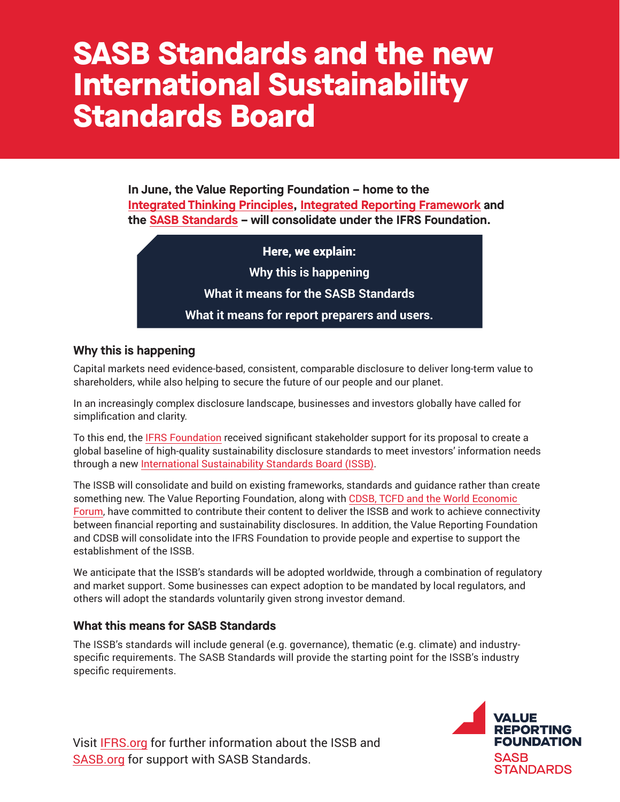# **SASB Standards and the new International Sustainability Standards Board**

**In June, the Value Reporting Foundation – home to the [Integrated Thinking Principles,](https://www.integratedreporting.org/integrated-thinking/) [Integrated Reporting Framework](https://www.integratedreporting.org/resource/international-ir-framework/) and the [SASB Standards](https://www.sasb.org/standards/) – will consolidate under the IFRS Foundation.** 

Here, we explain:

**Why this is happening**

**What it means for the SASB Standards**

**What it means for report preparers and users.** 

### **Why this is happening**

Capital markets need evidence-based, consistent, comparable disclosure to deliver long-term value to shareholders, while also helping to secure the future of our people and our planet.

In an increasingly complex disclosure landscape, businesses and investors globally have called for simplification and clarity.

To this end, the [IFRS Foundation](https://www.ifrs.org/about-us/who-we-are/) received significant stakeholder support for its proposal to create a global baseline of high-quality sustainability disclosure standards to meet investors' information needs through a new [International Sustainability Standards Board \(ISSB\)](https://www.ifrs.org/groups/international-sustainability-standards-board/).

The ISSB will consolidate and build on existing frameworks, standards and guidance rather than create something new. The Value Reporting Foundation, along with [CDSB, TCFD and the World Economic](https://www.ifrs.org/groups/technical-readiness-working-group/#members)  [Forum,](https://www.ifrs.org/groups/technical-readiness-working-group/#members) have committed to contribute their content to deliver the ISSB and work to achieve connectivity between financial reporting and sustainability disclosures. In addition, the Value Reporting Foundation and CDSB will consolidate into the IFRS Foundation to provide people and expertise to support the establishment of the ISSB.

We anticipate that the ISSB's standards will be adopted worldwide, through a combination of regulatory and market support. Some businesses can expect adoption to be mandated by local regulators, and others will adopt the standards voluntarily given strong investor demand.

#### **What this means for SASB Standards**

The ISSB's standards will include general (e.g. governance), thematic (e.g. climate) and industryspecific requirements. The SASB Standards will provide the starting point for the ISSB's industry specific requirements.

Visit [IFRS.org](https://www.ifrs.org/groups/international-sustainability-standards-board/) for further information about the ISSB and [SASB.org](https://www.sasb.org/) for support with SASB Standards.